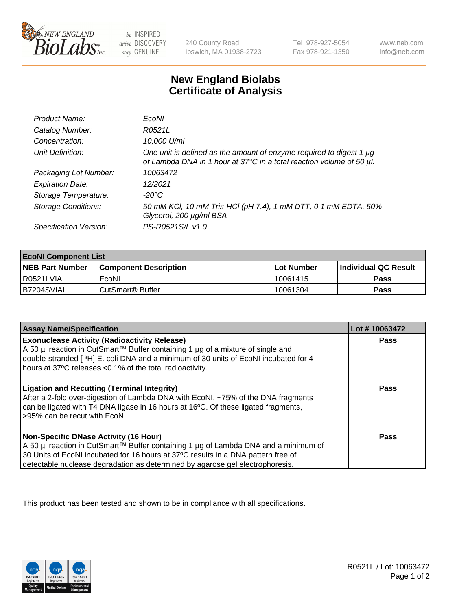

 $be$  INSPIRED drive DISCOVERY stay GENUINE

240 County Road Ipswich, MA 01938-2723 Tel 978-927-5054 Fax 978-921-1350 www.neb.com info@neb.com

## **New England Biolabs Certificate of Analysis**

| Product Name:              | EcoNI                                                                                                                                       |
|----------------------------|---------------------------------------------------------------------------------------------------------------------------------------------|
| Catalog Number:            | R0521L                                                                                                                                      |
| Concentration:             | 10,000 U/ml                                                                                                                                 |
| Unit Definition:           | One unit is defined as the amount of enzyme required to digest 1 µg<br>of Lambda DNA in 1 hour at 37°C in a total reaction volume of 50 µl. |
| Packaging Lot Number:      | 10063472                                                                                                                                    |
| <b>Expiration Date:</b>    | 12/2021                                                                                                                                     |
| Storage Temperature:       | $-20^{\circ}$ C                                                                                                                             |
| <b>Storage Conditions:</b> | 50 mM KCl, 10 mM Tris-HCl (pH 7.4), 1 mM DTT, 0.1 mM EDTA, 50%<br>Glycerol, 200 µg/ml BSA                                                   |
| Specification Version:     | PS-R0521S/L v1.0                                                                                                                            |

| <b>EcoNI Component List</b> |                         |              |                             |  |  |
|-----------------------------|-------------------------|--------------|-----------------------------|--|--|
| <b>NEB Part Number</b>      | l Component Description | l Lot Number | <b>Individual QC Result</b> |  |  |
| I R0521LVIAL                | EcoNI                   | 10061415     | <b>Pass</b>                 |  |  |
| B7204SVIAL                  | l CutSmart® Buffer      | 10061304     | Pass                        |  |  |

| <b>Assay Name/Specification</b>                                                                                                                                                                                                                                                                           | Lot #10063472 |
|-----------------------------------------------------------------------------------------------------------------------------------------------------------------------------------------------------------------------------------------------------------------------------------------------------------|---------------|
| <b>Exonuclease Activity (Radioactivity Release)</b><br>A 50 µl reaction in CutSmart™ Buffer containing 1 µg of a mixture of single and<br>double-stranded [3H] E. coli DNA and a minimum of 30 units of EcoNI incubated for 4<br>hours at 37°C releases <0.1% of the total radioactivity.                 | Pass          |
| <b>Ligation and Recutting (Terminal Integrity)</b><br>After a 2-fold over-digestion of Lambda DNA with EcoNI, ~75% of the DNA fragments<br>can be ligated with T4 DNA ligase in 16 hours at 16°C. Of these ligated fragments,<br>>95% can be recut with EcoNI.                                            | Pass          |
| <b>Non-Specific DNase Activity (16 Hour)</b><br>A 50 µl reaction in CutSmart™ Buffer containing 1 µg of Lambda DNA and a minimum of<br>30 Units of EcoNI incubated for 16 hours at 37°C results in a DNA pattern free of<br>detectable nuclease degradation as determined by agarose gel electrophoresis. | <b>Pass</b>   |

This product has been tested and shown to be in compliance with all specifications.